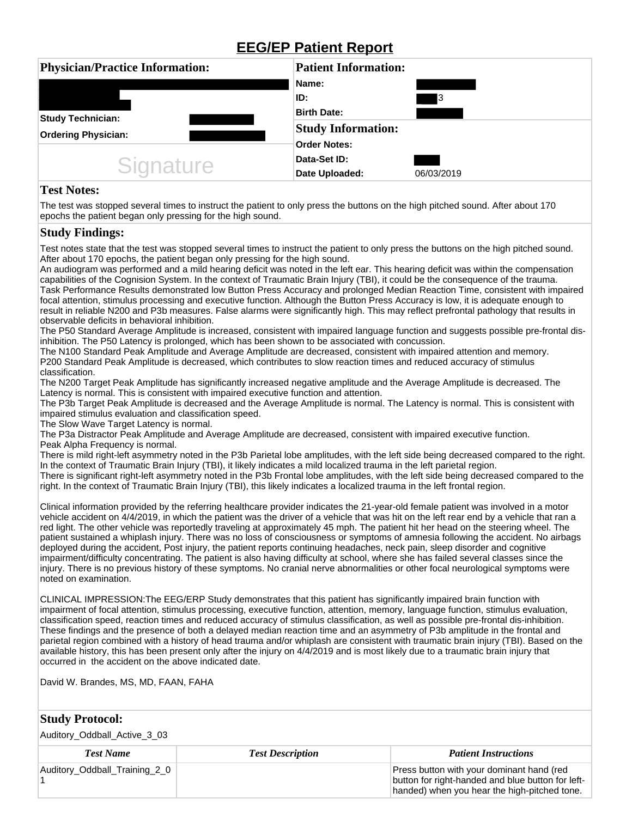## **EEG/EP Patient Report**

| <b>Physician/Practice Information:</b> | <b>Patient Information:</b> |            |  |
|----------------------------------------|-----------------------------|------------|--|
|                                        | Name:                       |            |  |
|                                        | ID:                         | 3          |  |
| <b>Study Technician:</b>               | <b>Birth Date:</b>          |            |  |
| <b>Ordering Physician:</b>             | <b>Study Information:</b>   |            |  |
|                                        | <b>Order Notes:</b>         |            |  |
| <b>Signature</b>                       | Data-Set ID:                |            |  |
|                                        | Date Uploaded:              | 06/03/2019 |  |

## **Test Notes:**

The test was stopped several times to instruct the patient to only press the buttons on the high pitched sound. After about 170 epochs the patient began only pressing for the high sound.

## **Study Findings:**

Test notes state that the test was stopped several times to instruct the patient to only press the buttons on the high pitched sound. After about 170 epochs, the patient began only pressing for the high sound.

An audiogram was performed and a mild hearing deficit was noted in the left ear. This hearing deficit was within the compensation capabilities of the Cognision System. In the context of Traumatic Brain Injury (TBI), it could be the consequence of the trauma. Task Performance Results demonstrated low Button Press Accuracy and prolonged Median Reaction Time, consistent with impaired focal attention, stimulus processing and executive function. Although the Button Press Accuracy is low, it is adequate enough to result in reliable N200 and P3b measures. False alarms were significantly high. This may reflect prefrontal pathology that results in observable deficits in behavioral inhibition.

The P50 Standard Average Amplitude is increased, consistent with impaired language function and suggests possible pre-frontal disinhibition. The P50 Latency is prolonged, which has been shown to be associated with concussion.

The N100 Standard Peak Amplitude and Average Amplitude are decreased, consistent with impaired attention and memory. P200 Standard Peak Amplitude is decreased, which contributes to slow reaction times and reduced accuracy of stimulus classification.

The N200 Target Peak Amplitude has significantly increased negative amplitude and the Average Amplitude is decreased. The Latency is normal. This is consistent with impaired executive function and attention.

The P3b Target Peak Amplitude is decreased and the Average Amplitude is normal. The Latency is normal. This is consistent with impaired stimulus evaluation and classification speed.

The Slow Wave Target Latency is normal.

The P3a Distractor Peak Amplitude and Average Amplitude are decreased, consistent with impaired executive function. Peak Alpha Frequency is normal.

There is mild right-left asymmetry noted in the P3b Parietal lobe amplitudes, with the left side being decreased compared to the right. In the context of Traumatic Brain Injury (TBI), it likely indicates a mild localized trauma in the left parietal region. There is significant right-left asymmetry noted in the P3b Frontal lobe amplitudes, with the left side being decreased compared to the right. In the context of Traumatic Brain Injury (TBI), this likely indicates a localized trauma in the left frontal region.

Clinical information provided by the referring healthcare provider indicates the 21-year-old female patient was involved in a motor vehicle accident on 4/4/2019, in which the patient was the driver of a vehicle that was hit on the left rear end by a vehicle that ran a red light. The other vehicle was reportedly traveling at approximately 45 mph. The patient hit her head on the steering wheel. The patient sustained a whiplash injury. There was no loss of consciousness or symptoms of amnesia following the accident. No airbags deployed during the accident, Post injury, the patient reports continuing headaches, neck pain, sleep disorder and cognitive impairment/difficulty concentrating. The patient is also having difficulty at school, where she has failed several classes since the injury. There is no previous history of these symptoms. No cranial nerve abnormalities or other focal neurological symptoms were noted on examination.

CLINICAL IMPRESSION:The EEG/ERP Study demonstrates that this patient has significantly impaired brain function with impairment of focal attention, stimulus processing, executive function, attention, memory, language function, stimulus evaluation, classification speed, reaction times and reduced accuracy of stimulus classification, as well as possible pre-frontal dis-inhibition. These findings and the presence of both a delayed median reaction time and an asymmetry of P3b amplitude in the frontal and parietal region combined with a history of head trauma and/or whiplash are consistent with traumatic brain injury (TBI). Based on the available history, this has been present only after the injury on 4/4/2019 and is most likely due to a traumatic brain injury that occurred in the accident on the above indicated date.

David W. Brandes, MS, MD, FAAN, FAHA

## **Study Protocol:**

Auditory\_Oddball\_Active\_3\_03

| <b>Test Name</b><br><b>Test Description</b> |  | <b>Patient Instructions</b>                                                                                                                    |
|---------------------------------------------|--|------------------------------------------------------------------------------------------------------------------------------------------------|
| Auditory_Oddball_Training_2_0               |  | Press button with your dominant hand (red<br>button for right-handed and blue button for left-<br>handed) when you hear the high-pitched tone. |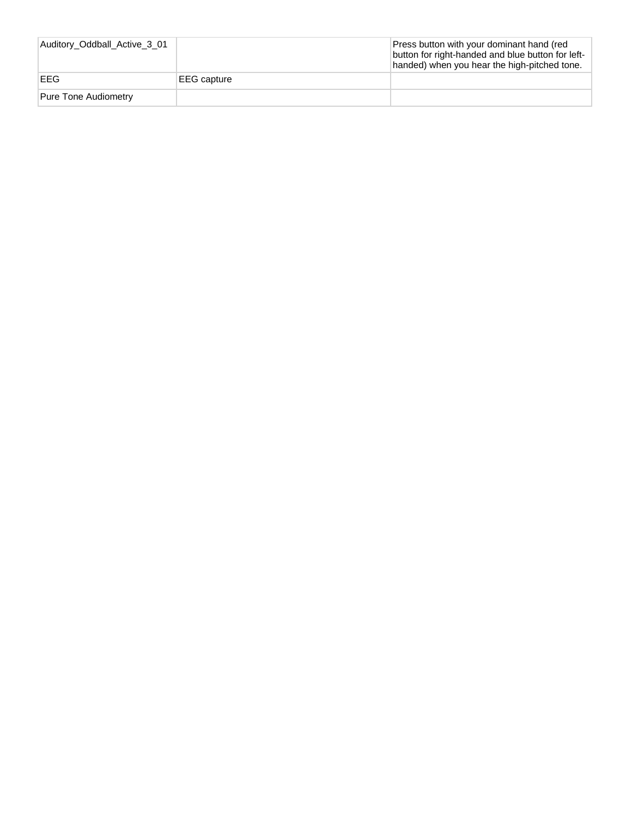| Auditory_Oddball_Active_3_01 |             | Press button with your dominant hand (red<br>button for right-handed and blue button for left-<br>handed) when you hear the high-pitched tone. |
|------------------------------|-------------|------------------------------------------------------------------------------------------------------------------------------------------------|
| EEG                          | EEG capture |                                                                                                                                                |
| Pure Tone Audiometry         |             |                                                                                                                                                |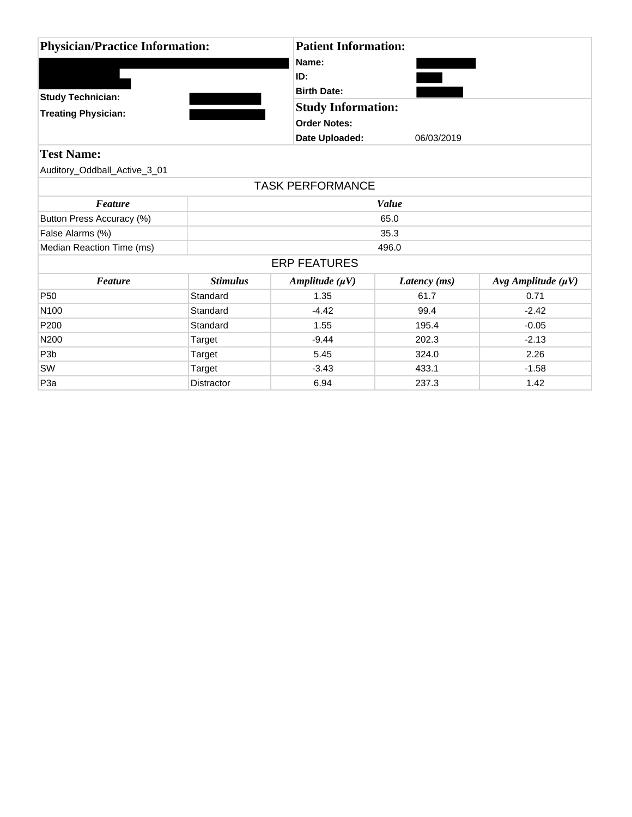| <b>Physician/Practice Information:</b> |                   |                         | <b>Patient Information:</b> |                            |  |  |
|----------------------------------------|-------------------|-------------------------|-----------------------------|----------------------------|--|--|
|                                        |                   | Name:                   |                             |                            |  |  |
|                                        |                   | ID:                     | <b>Birth Date:</b>          |                            |  |  |
|                                        |                   |                         |                             |                            |  |  |
| <b>Study Technician:</b>               |                   |                         | <b>Study Information:</b>   |                            |  |  |
| <b>Treating Physician:</b>             |                   |                         | <b>Order Notes:</b>         |                            |  |  |
|                                        |                   | Date Uploaded:          | 06/03/2019                  |                            |  |  |
| <b>Test Name:</b>                      |                   |                         |                             |                            |  |  |
| Auditory_Oddball_Active_3_01           |                   |                         |                             |                            |  |  |
|                                        |                   | <b>TASK PERFORMANCE</b> |                             |                            |  |  |
| <b>Feature</b>                         |                   | Value                   |                             |                            |  |  |
| Button Press Accuracy (%)              |                   | 65.0                    |                             |                            |  |  |
| False Alarms (%)                       |                   | 35.3                    |                             |                            |  |  |
| Median Reaction Time (ms)              |                   | 496.0                   |                             |                            |  |  |
|                                        |                   | <b>ERP FEATURES</b>     |                             |                            |  |  |
| <b>Feature</b>                         | <b>Stimulus</b>   | Amplitude $(\mu V)$     | Latency (ms)                | $Avg$ Amplitude ( $\mu$ V) |  |  |
| P <sub>50</sub>                        | Standard          | 1.35                    | 61.7                        | 0.71                       |  |  |
| N <sub>100</sub>                       | Standard          | $-4.42$                 | 99.4                        | $-2.42$                    |  |  |
| P <sub>200</sub>                       | Standard          | 1.55                    | 195.4                       | $-0.05$                    |  |  |
| N200                                   | Target            | $-9.44$                 | 202.3                       | $-2.13$                    |  |  |
| P <sub>3</sub> b                       | Target            | 5.45                    | 324.0                       | 2.26                       |  |  |
| SW                                     | Target            | $-3.43$                 | 433.1                       | $-1.58$                    |  |  |
| P <sub>3</sub> a                       | <b>Distractor</b> | 6.94                    | 237.3                       | 1.42                       |  |  |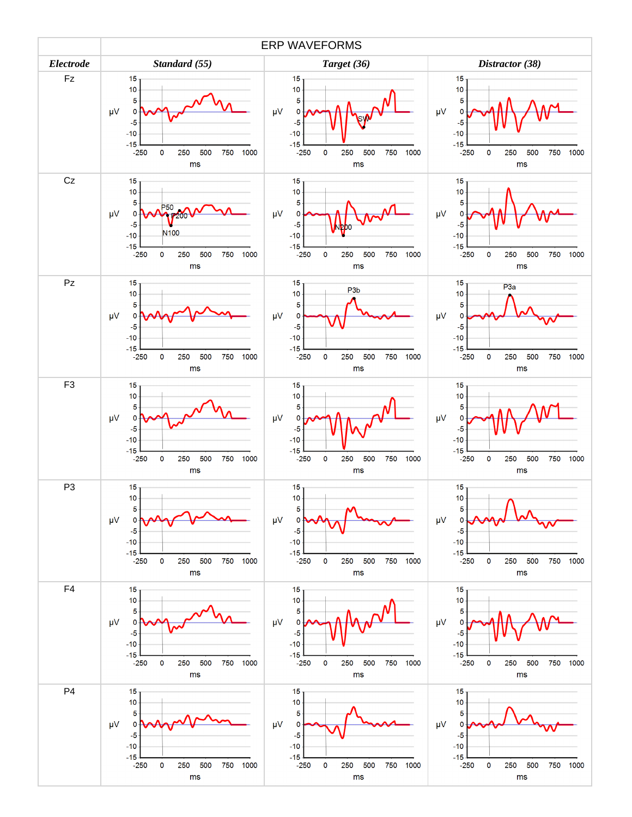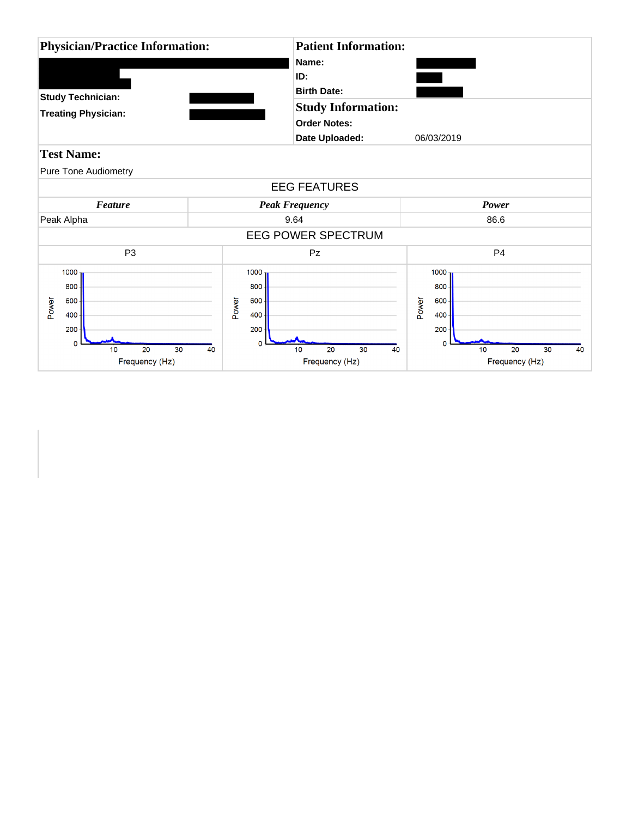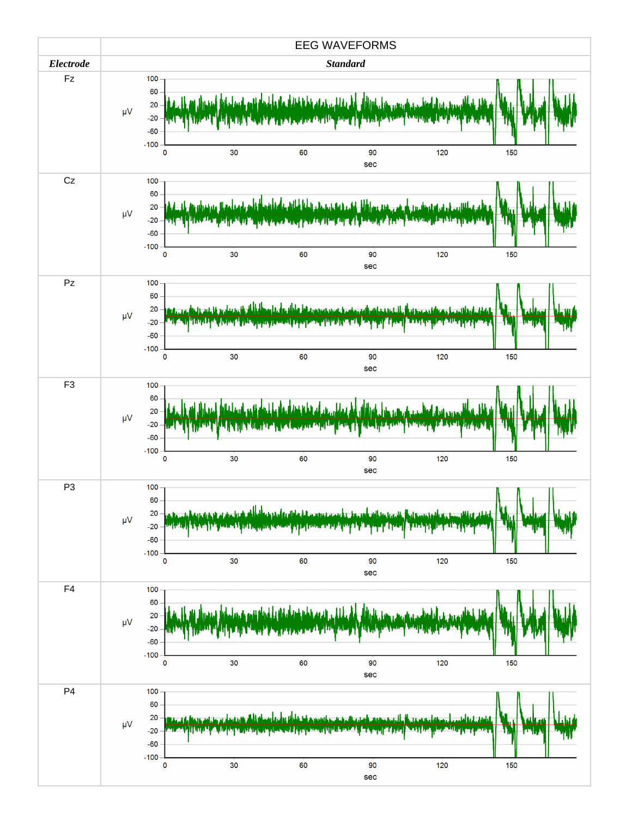